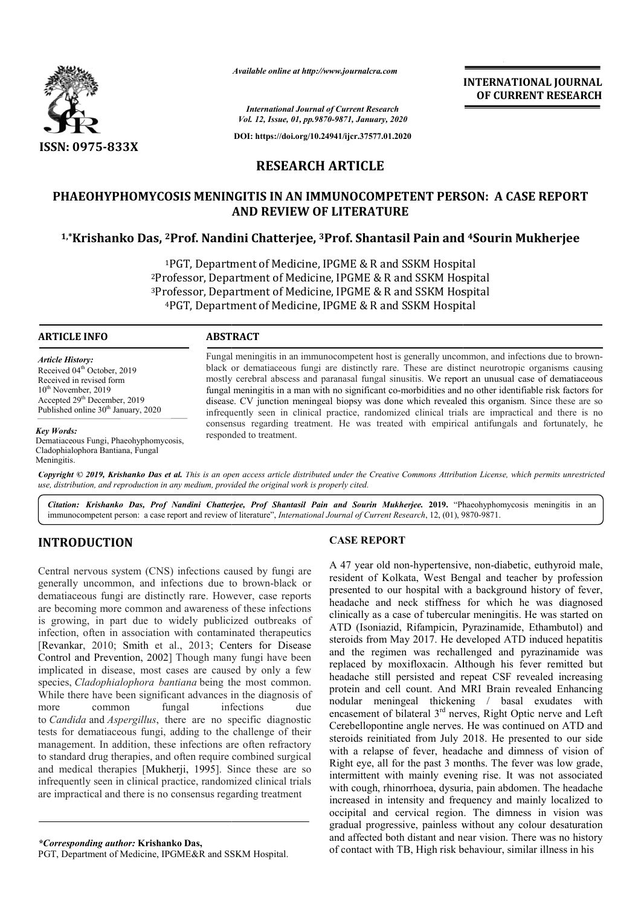

*Available online at http://www.journalcra.com*

**INTERNATIONAL JOURNAL OF CURRENT RESEARCH**

*International Journal of Current Research Vol. 12, Issue, 01, pp.9870-9871, January, 2020*

**DOI: https://doi.org/10.24941/ijcr.37577.01.2020**

# **RESEARCH ARTICLE**

# **PHAEOHYPHOMYCOSIS MENINGITIS IN AN IMMUNOCOMPETENT PERSON: A CASE REPORT AND REVIEW OF LITERATURE**

# **1,\*Krishanko Das, 2Prof. Nandini Chatterjee, 3Prof. Shantasil Pain and and 4Sourin Mukherjee**

<sup>1</sup>PGT, Department of Medicine, IPGME & R and SSKM Hospital  $^{2}$ Professor, Department of Medicine, IPGME & R and SSKM Hospital  $3$ Professor, Department of Medicine, IPGME & R and SSKM Hospital <sup>4</sup>PGT, Department of Medicine, IPGME & R and SSKM Hospital KM Hospital<br>SSKM Hospital<br>SSKM Hospital<br>KM Hospital

### **ARTICLE INFO ABSTRACT**

*Article History:* Received 04<sup>th</sup> October, 2019 Received in revised form 10<sup>th</sup> November, 2019 Accepted 29<sup>th</sup> December, 2019 Published online 30<sup>th</sup> January, 2020

*Key Words:* Dematiaceous Fungi, Phaeohyphomycosis, Cladophialophora Bantiana, Fungal Meningitis.

Fungal meningitis in an immunocompetent host is generally uncommon, and infections due to brownblack or dematiaceous fungi are distinctly rare. These are distinct neurotropic organisms causing mostly cerebral abscess and paranasal fungal sinusitis. We report an unusual case of dematiaceous fungal meningitis in a man with no significant co-morbidities and no other identifiable risk factors for disease. CV junction meningeal biopsy was done which revealed this organism. infrequently seen in clinical practice, randomized clinical trials are impractical and there is no infrequently seen in clinical practice, randomized clinical trials are impractical and there is no consensus regarding treatment. He was treated with empirical antifungals and fortunately, he responded to treatment. is fungi are distinctly rare. These are distinct neurotropic organisms causing ss and paranasal fungal sinusitis. We report an unusual case of dematiaceous man with no significant co-morbidities and no other identifiable r

Copyright © 2019, Krishanko Das et al. This is an open access article distributed under the Creative Commons Attribution License, which permits unrestricted *use, distribution, and reproduction in any medium, provided the original work is properly cited.*

Citation: Krishanko Das, Prof Nandini Chatterjee, Prof Shantasil Pain and Sourin Mukherjee. 2019. "Phaeohyphomycosis meningitis in an immunocompetent person: a case report and review of literature", *International Journal* immunocompetent person: a case report and review of literature", *International Journal of Current Research*, 12, (01), 9870

# **INTRODUCTION**

Central nervous system (CNS) infections caused by fungi are generally uncommon, and infections due to brown-black or dematiaceous fungi are distinctly rare. However, case reports are becoming more common and awareness of these infections is growing, in part due to widely publicized outbreaks of infection, often in association with contaminated therapeutics [Revankar, 2010; Smith et al., 2013; Centers for Disease Control and Prevention, 2002] Though many fungi have been implicated in disease, most cases are caused by only a few species, *Cladophialophora bantiana* being the most common. While there have been significant advances in the diagnosis of more common fungal infections due to *Candida* and *Aspergillus*, there are no specific diagnostic tests for dematiaceous fungi, adding to the challenge of their management. In addition, these infections are often refractory to standard drug therapies, and often require combined surgical and medical therapies [Mukherji, 1995]. Since these are so infrequently seen in clinical practice, randomized clinical trials are impractical and there is no consensus regarding treatmen ] Though many fungi have been<br>cases are caused by only a few<br>*mtiana* being the most common.<br>cant advances in the diagnosis of<br>ingal infections due<br>here are no specific diagnostic<br>adding to the challenge of their<br>se infect ]. Since these are<br>domized clinical tria<br>regarding treatment

## **CASE REPORT**

A 47 year old non-hypertensive, non hypertensive, non-diabetic, euthyroid male, resident of Kolkata, West Bengal and teacher by profession presented to our hospital with a background history of fever, headache and neck stiffness for which he was diagnosed clinically as a case of tubercular meningitis. He was started on ATD (Isoniazid, Rifampicin, Pyrazinamide, Ethambutol) and steroids from May 2017. He developed ATD induced hepatitis and the regimen was rechallenged and pyrazinamide was replaced by moxifloxacin. Although his fever remitted but headache still persisted and repeat CSF revealed increasing protein and cell count. And MRI Brain revealed Enhancing nodular meningeal thickening / basal exudates with encasement of bilateral 3<sup>rd</sup> nerves, Right Optic nerve and Left Cerebellopontine angle nerves. He was continued on ATD and steroids reinitiated from July 2018. He presented to our side with a relapse of fever, headache and dimness of vision of Right eye, all for the past 3 months. The fever was low grade, intermittent with mainly evening rise. It was not associated with cough, rhinorrhoea, dysuria, pain abdomen. The headache increased in intensity and frequency and mainly localized to occipital and cervical region. The dimness in vision was gradual progressive, painless with and affected both distant and near vision. There was no history of contact with TB, High risk behaviour, similar illness in his resident of Kolkata, West Bengal and teacher by profession<br>presented to our hospital with a background history of fever,<br>headache and neck stiffness for which he was diagnosed<br>clinically as a case of tubercular meningitis. headache still persisted and repeat CSF revealed increasing<br>protein and cell count. And MRI Brain revealed Enhancing<br>nodular meningeal thickening / basal exudates with<br>encasement of bilateral 3<sup>rd</sup> nerves. Right Optic nerv INTERNATIONAL JOURNAL<br>
or CURRENT RESEARCH<br>
or CURRENT RESEARCH<br>
or CURRENT RESEARCH<br>
2007.<br>
T.01.2020<br>
E.<br>
MPETENT PERSON: A CASE REPORT<br>
TURE<br>
TORE<br>
TORE<br>
TORE<br>
2010 2020<br>
2020<br>
2020<br>
2020<br>
2021<br>
2021 2021 2021 11 Mukher

*\*Corresponding author:* **Krishanko Das,**

PGT, Department of Medicine, IPGME&R and SSKM Hospital Hospital.